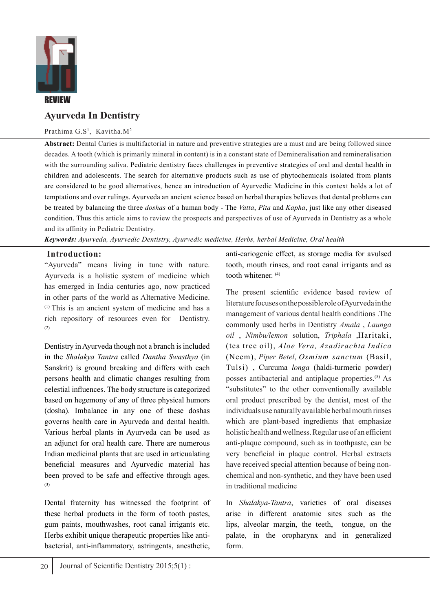

# **Ayurveda In Dentistry**

### Prathima G.S<sup>1</sup>, Kavitha.M<sup>2</sup>

**Abstract:** Dental Caries is multifactorial in nature and preventive strategies are a must and are being followed since decades. A tooth (which is primarily mineral in content) is in a constant state of Demineralisation and remineralisation with the surrounding saliva. Pediatric dentistry faces challenges in preventive strategies of oral and dental health in children and adolescents. The search for alternative products such as use of phytochemicals isolated from plants are considered to be good alternatives, hence an introduction of Ayurvedic Medicine in this context holds a lot of temptations and over rulings. Ayurveda an ancient science based on herbal therapies believes that dental problems can be treated by balancing the three *doshas* of a human body - The *Vatta*, *Pita* and *Kapha*, just like any other diseased condition. Thus this article aims to review the prospects and perspectives of use of Ayurveda in Dentistry as a whole and its affinity in Pediatric Dentistry.

*Keywords: Ayurveda, Ayurvedic Dentistry, Ayurvedic medicine, Herbs, herbal Medicine, Oral health* 

## **Introduction:**

"Ayurveda" means living in tune with nature. Ayurveda is a holistic system of medicine which has emerged in India centuries ago, now practiced in other parts of the world as Alternative Medicine. (1) This is an ancient system of medicine and has a rich repository of resources even for Dentistry. (2)

Dentistry in Ayurveda though not a branch is included in the *Shalakya Tantra* called *Dantha Swasthya* (in Sanskrit) is ground breaking and differs with each persons health and climatic changes resulting from celestial influences. The body structure is categorized based on hegemony of any of three physical humors (dosha). Imbalance in any one of these doshas governs health care in Ayurveda and dental health. Various herbal plants in Ayurveda can be used as an adjunct for oral health care. There are numerous Indian medicinal plants that are used in articualating beneficial measures and Ayurvedic material has been proved to be safe and effective through ages. (3)

Dental fraternity has witnessed the footprint of these herbal products in the form of tooth pastes, gum paints, mouthwashes, root canal irrigants etc. Herbs exhibit unique therapeutic properties like antibacterial, anti-inflammatory, astringents, anesthetic,

anti-cariogenic effect, as storage media for avulsed tooth, mouth rinses, and root canal irrigants and as tooth whitener. (4)

The present scientific evidence based review of literature focuses on the possible role of Ayurveda in the management of various dental health conditions .The commonly used herbs in Dentistry *Amala* , *Launga oil* , *Nimbu/lemon* solution, *Triphala* ,Haritaki, (tea tree oil), *Aloe Vera, Azadirachta Indica* (Neem), *Piper Betel*, *Osmium sanctum* (Basil, Tulsi) , Curcuma *longa* (haldi-turmeric powder) posses antibacterial and antiplaque properties.<sup>(5)</sup> As "substitutes" to the other conventionally available oral product prescribed by the dentist, most of the individuals use naturally available herbal mouth rinses which are plant-based ingredients that emphasize holistic health and wellness. Regular use of an efficient anti-plaque compound, such as in toothpaste, can be very beneficial in plaque control. Herbal extracts have received special attention because of being nonchemical and non-synthetic, and they have been used in traditional medicine

In *Shalakya-Tantra*, varieties of oral diseases arise in different anatomic sites such as the lips, alveolar margin, the teeth, tongue, on the palate, in the oropharynx and in generalized form.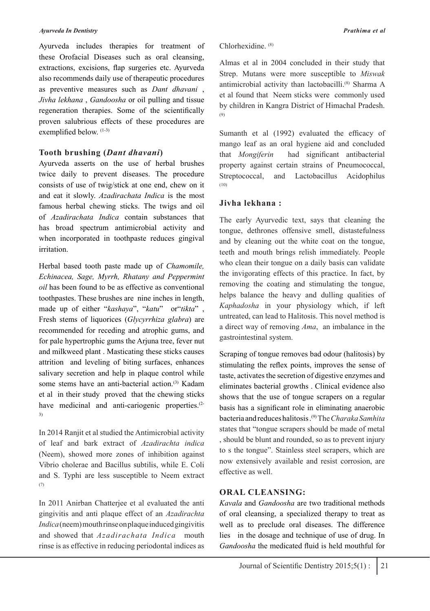#### *Ayurveda In Dentistry Prathima et al*

Ayurveda includes therapies for treatment of these Orofacial Diseases such as oral cleansing, extractions, excisions, flap surgeries etc. Ayurveda also recommends daily use of therapeutic procedures as preventive measures such as *Dant dhavani* , *Jivha lekhana* , *Gandoosha* or oil pulling and tissue regeneration therapies. Some of the scientifically proven salubrious effects of these procedures are exemplified below. (1-3)

## **Tooth brushing (***Dant dhavani***)**

Ayurveda asserts on the use of herbal brushes twice daily to prevent diseases. The procedure consists of use of twig/stick at one end, chew on it and eat it slowly. *Azadirachata Indica* is the most famous herbal chewing sticks. The twigs and oil of *Azadirachata Indica* contain substances that has broad spectrum antimicrobial activity and when incorporated in toothpaste reduces gingival irritation.

Herbal based tooth paste made up of *Chamomile, Echinacea, Sage, Myrrh, Rhatany and Peppermint oil* has been found to be as effective as conventional toothpastes. These brushes are nine inches in length, made up of either "*kashaya*", "*katu*" or"*tikta*" , Fresh stems of liquorices (*Glycyrrhiza glabra*) are recommended for receding and atrophic gums, and for pale hypertrophic gums the Arjuna tree, fever nut and milkweed plant . Masticating these sticks causes attrition and leveling of biting surfaces, enhances salivary secretion and help in plaque control while some stems have an anti-bacterial action.<sup>(3)</sup> Kadam et al in their study proved that the chewing sticks have medicinal and anti-cariogenic properties.<sup>(2-1</sup> 3)

In 2014 Ranjit et al studied the Antimicrobial activity of leaf and bark extract of *Azadirachta indica* (Neem), showed more zones of inhibition against Vibrio cholerae and Bacillus subtilis, while E. Coli and S. Typhi are less susceptible to Neem extract (7)

In 2011 Anirban Chatterjee et al evaluated the anti gingivitis and anti plaque effect of an *Azadirachta Indica*(neem) mouth rinse on plaque induced gingivitis and showed that *Azadirachata Indica* mouth rinse is as effective in reducing periodontal indices as Chlorhexidine. (8)

Almas et al in 2004 concluded in their study that Strep. Mutans were more susceptible to *Miswak* antimicrobial activity than lactobacilli.<sup>(8)</sup> Sharma A et al found that Neem sticks were commonly used by children in Kangra District of Himachal Pradesh. (9)

Sumanth et al (1992) evaluated the efficacy of mango leaf as an oral hygiene aid and concluded that *Mongiferin* had significant antibacterial property against certain strains of Pneumococcal, Streptococcal, and Lactobacillus Acidophilus (10)

## **Jivha lekhana :**

The early Ayurvedic text, says that cleaning the tongue, dethrones offensive smell, distastefulness and by cleaning out the white coat on the tongue, teeth and mouth brings relish immediately. People who clean their tongue on a daily basis can validate the invigorating effects of this practice. In fact, by removing the coating and stimulating the tongue, helps balance the heavy and dulling qualities of *Kaphadosha* in your physiology which, if left untreated, can lead to Halitosis. This novel method is a direct way of removing *Ama*, an imbalance in the gastrointestinal system.

Scraping of tongue removes bad odour (halitosis) by stimulating the reflex points, improves the sense of taste, activates the secretion of digestive enzymes and eliminates bacterial growths . Clinical evidence also shows that the use of tongue scrapers on a regular basis has a significant role in eliminating anaerobic bacteria and reduces halitosis .(9) The *Charaka Samhita* states that "tongue scrapers should be made of metal , should be blunt and rounded, so as to prevent injury to s the tongue". Stainless steel scrapers, which are now extensively available and resist corrosion, are effective as well.

## **ORAL CLEANSING:**

*Kavala* and *Gandoosha* are two traditional methods of oral cleansing, a specialized therapy to treat as well as to preclude oral diseases. The difference lies in the dosage and technique of use of drug. In *Gandoosha* the medicated fluid is held mouthful for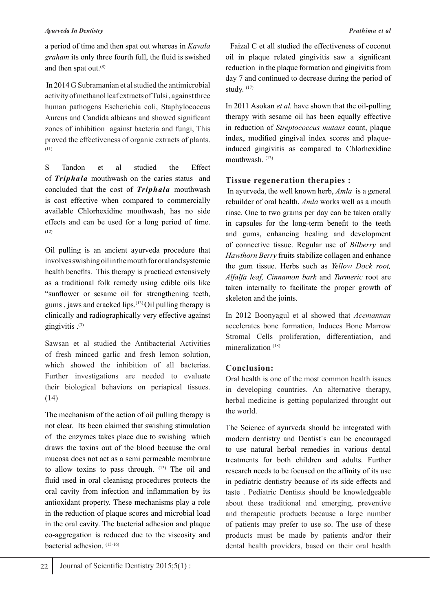### *Ayurveda In Dentistry Prathima et al*

a period of time and then spat out whereas in *Kavala graham* its only three fourth full, the fluid is swished and then spat out.<sup>(8)</sup>

 In 2014 G Subramanian et al studied the antimicrobial activity of methanol leaf extracts of Tulsi , against three human pathogens Escherichia coli, Staphylococcus Aureus and Candida albicans and showed significant zones of inhibition against bacteria and fungi, This proved the effectiveness of organic extracts of plants. (11)

S Tandon et al studied the Effect of *Triphala* mouthwash on the caries status and concluded that the cost of *Triphala* mouthwash is cost effective when compared to commercially available Chlorhexidine mouthwash, has no side effects and can be used for a long period of time. (12)

Oil pulling is an ancient ayurveda procedure that involves swishing oil in the mouth for oral and systemic health benefits. This therapy is practiced extensively as a traditional folk remedy using edible oils like "sunflower or sesame oil for strengthening teeth, gums, jaws and cracked lips. $(13)$  Oil pulling therapy is clinically and radiographically very effective against gingivitis  $^{(3)}$ 

Sawsan et al studied the Antibacterial Activities of fresh minced garlic and fresh lemon solution, which showed the inhibition of all bacterias. Further investigations are needed to evaluate their biological behaviors on periapical tissues. (14)

The mechanism of the action of oil pulling therapy is not clear. Its been claimed that swishing stimulation of the enzymes takes place due to swishing which draws the toxins out of the blood because the oral mucosa does not act as a semi permeable membrane to allow toxins to pass through. (13) The oil and fluid used in oral cleanisng procedures protects the oral cavity from infection and inflammation by its antioxidant property. These mechanisms play a role in the reduction of plaque scores and microbial load in the oral cavity. The bacterial adhesion and plaque co-aggregation is reduced due to the viscosity and bacterial adhesion. (15-16)

 Faizal C et all studied the effectiveness of coconut oil in plaque related gingivitis saw a significant reduction in the plaque formation and gingivitis from day 7 and continued to decrease during the period of study.  $(17)$ 

In 2011 Asokan *et al.* have shown that the oil-pulling therapy with sesame oil has been equally effective in reduction of *Streptococcus mutans* count, plaque index, modified gingival index scores and plaqueinduced gingivitis as compared to Chlorhexidine mouthwash.<sup>(13)</sup>

## **Tissue regeneration therapies :**

 In ayurveda, the well known herb, *Amla* is a general rebuilder of oral health. *Amla* works well as a mouth rinse. One to two grams per day can be taken orally in capsules for the long-term benefit to the teeth and gums, enhancing healing and development of connective tissue. Regular use of *Bilberry* and *Hawthorn Berry* fruits stabilize collagen and enhance the gum tissue. Herbs such as *Yellow Dock root, Alfalfa leaf, Cinnamon bark* and *Turmeric* root are taken internally to facilitate the proper growth of skeleton and the joints.

In 2012 Boonyagul et al showed that *Acemannan*  accelerates bone formation, Induces Bone Marrow Stromal Cells proliferation, differentiation, and mineralization<sup>(18)</sup>

## **Conclusion:**

Oral health is one of the most common health issues in developing countries. An alternative therapy, herbal medicine is getting popularized throught out the world.

The Science of ayurveda should be integrated with modern dentistry and Dentist`s can be encouraged to use natural herbal remedies in various dental treatments for both children and adults. Further research needs to be focused on the affinity of its use in pediatric dentistry because of its side effects and taste . Pediatric Dentists should be knowledgeable about these traditional and emerging, preventive and therapeutic products because a large number of patients may prefer to use so. The use of these products must be made by patients and/or their dental health providers, based on their oral health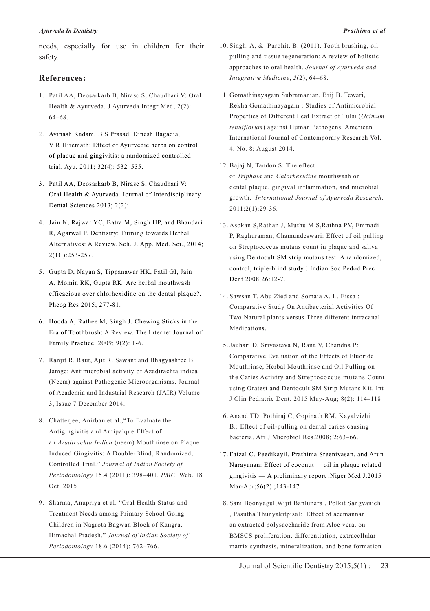needs, especially for use in children for their safety.

### **References:**

- 1. Patil AA, Deosarkarb B, Nirasc S, Chaudhari V: Oral Health & Ayurveda. J Ayurveda Integr Med; 2(2): 64–68.
- 2. Avinash Kadam, B S Prasad, Dinesh Bagadia, V R Hiremath: Effect of Ayurvedic herbs on control of plaque and gingivitis: a randomized controlled trial. Ayu. 2011; 32(4): 532–535.
- 3. Patil AA, Deosarkarb B, Nirasc S, Chaudhari V: Oral Health & Ayurveda. Journal of Interdisciplinary Dental Sciences 2013; 2(2):
- 4. Jain N, Rajwar YC, Batra M, Singh HP, and Bhandari R, Agarwal P. Dentistry: Turning towards Herbal Alternatives: A Review. Sch. J. App. Med. Sci., 2014; 2(1C):253-257.
- 5. Gupta D, Nayan S, Tippanawar HK, Patil GI, Jain A, Momin RK, Gupta RK: Are herbal mouthwash efficacious over chlorhexidine on the dental plaque?. Phcog Res 2015; 277-81.
- 6. Hooda A, Rathee M, Singh J. Chewing Sticks in the Era of Toothbrush: A Review. The Internet Journal of Family Practice. 2009; 9(2): 1-6.
- 7. Ranjit R. Raut, Ajit R. Sawant and Bhagyashree B. Jamge: Antimicrobial activity of Azadirachta indica (Neem) against Pathogenic Microorganisms. Journal of Academia and Industrial Research (JAIR) Volume 3, Issue 7 December 2014.
- 8. Chatterjee, Anirban et al.,"To Evaluate the Antigingivitis and Antipalque Effect of an *Azadirachta Indica* (neem) Mouthrinse on Plaque Induced Gingivitis: A Double-Blind, Randomized, Controlled Trial." *Journal of Indian Society of Periodontology* 15.4 (2011): 398–401. *PMC*. Web. 18 Oct. 2015
- 9. Sharma, Anupriya et al. "Oral Health Status and Treatment Needs among Primary School Going Children in Nagrota Bagwan Block of Kangra, Himachal Pradesh." *Journal of Indian Society of Periodontology* 18.6 (2014): 762–766.
- 10. Singh. A, & Purohit, B. (2011). Tooth brushing, oil pulling and tissue regeneration: A review of holistic approaches to oral health. *Journal of Ayurveda and Integrative Medicine*, *2*(2), 64–68.
- 11. Gomathinayagam Subramanian, Brij B. Tewari, Rekha Gomathinayagam : Studies of Antimicrobial Properties of Different Leaf Extract of Tulsi (*Ocimum tenuiflorum*) against Human Pathogens. American International Journal of Contemporary Research Vol. 4, No. 8; August 2014.
- 12. Bajaj N, Tandon S: The effect of *Triphala* and *Chlorhexidine* mouthwash on dental plaque, gingival inflammation, and microbial growth. *International Journal of Ayurveda Research*. 2011;2(1):29-36.
- 13. Asokan S,Rathan J, Muthu M S,Rathna PV, Emmadi P, Raghuraman, Chamundeswari: Effect of oil pulling on Streptococcus mutans count in plaque and saliva using Dentocult SM strip mutans test: A randomized, control, triple-blind study.J Indian Soc Pedod Prec Dent 2008;26:12-7.
- 14. Sawsan T. Abu Zied and Somaia A. L. Eissa : Comparative Study On Antibacterial Activities Of Two Natural plants versus Three different intracanal Medication**s.**
- 15. Jauhari D, Srivastava N, Rana V, Chandna P: Comparative Evaluation of the Effects of Fluoride Mouthrinse, Herbal Mouthrinse and Oil Pulling on the Caries Activity and Streptococcus mutans Count using Oratest and Dentocult SM Strip Mutans Kit. Int J Clin Pediatric Dent. 2015 May-Aug; 8(2): 114–118
- 16. Anand TD, Pothiraj C, Gopinath RM, Kayalvizhi B.: Effect of oil-pulling on dental caries causing bacteria. Afr J Microbiol Res.2008; 2:63–66.
- 17. Faizal C. Peedikayil, Prathima Sreenivasan, and Arun Narayanan: Effect of coconut oil in plaque related gingivitis — A preliminary report ,Niger Med J.2015 Mar-Apr;56(2) ;143-147
- 18. Sani Boonyagul,Wijit Banlunara , Polkit Sangvanich , Pasutha Thunyakitpisal: Effect of acemannan, an extracted polysaccharide from Aloe vera, on BMSCS proliferation, differentiation, extracellular matrix synthesis, mineralization, and bone formation